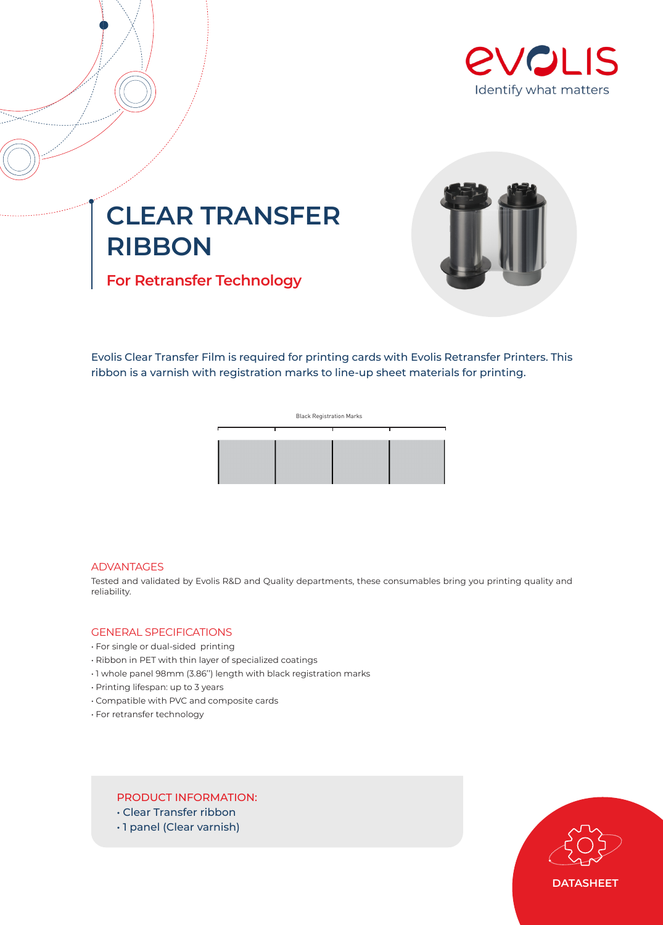

# **CLEAR TRANSFER RIBBON**

**For Retransfer Technology**



Evolis Clear Transfer Film is required for printing cards with Evolis Retransfer Printers. This ribbon is a varnish with registration marks to line-up sheet materials for printing.



#### ADVANTAGES

Tested and validated by Evolis R&D and Quality departments, these consumables bring you printing quality and reliability.

## GENERAL SPECIFICATIONS

- For single or dual-sided printing
- Ribbon in PET with thin layer of specialized coatings
- 1 whole panel 98mm (3.86'') length with black registration marks
- Printing lifespan: up to 3 years
- Compatible with PVC and composite cards
- For retransfer technology

# PRODUCT INFORMATION:

- Clear Transfer ribbon
- 1 panel (Clear varnish)